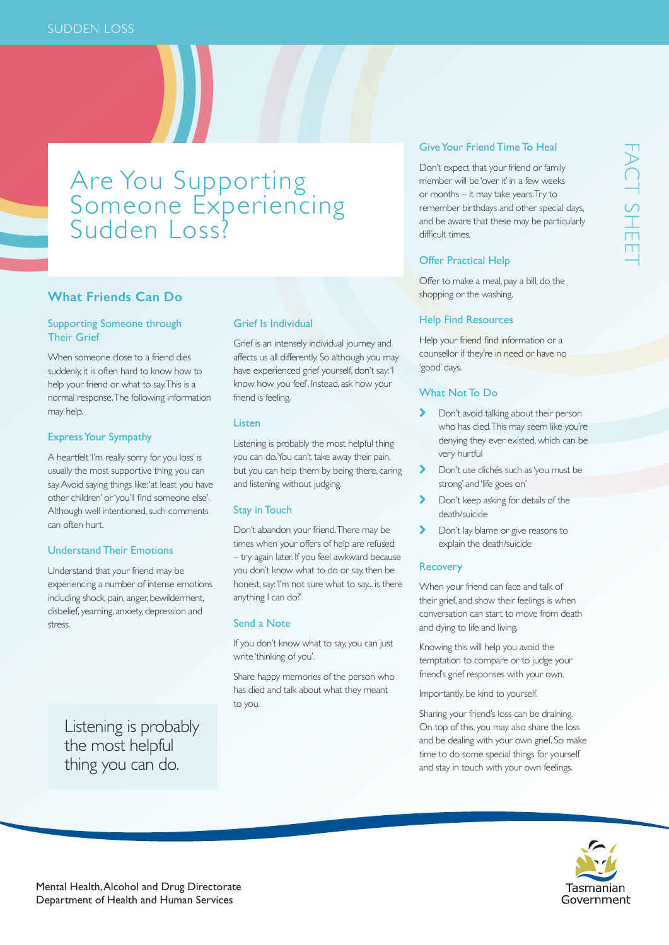# Are You Supporting Someone Experiencing Sudden Loss?

# **What Friends Can Do**

### Supporting Someone through Their Grief

When someone close to a friend dies suddenly, it is often hard to know how to help your friend or what to say. This is a normal response. The following information may help.

# Express Your Sympathy

A heartfelt 'I'm really sorry for you loss' is usually the most supportive thing you can say. Avoid saying things like: 'at least you have other children' or 'you'll find someone else'. Although well intentioned, such comments can often hurt.

#### Understand Their Emotions

Understand that your friend may be experiencing a number of intense emotions including shock, pain, anger, bewilderment, disbelief, yearning, anxiety, depression and stress.

Listening is probably the most helpful thing you can do.

#### Grief Is Individual

Grief is an intensely individual journey and affects us all differently. So although you may have experienced grief yourself, don't say: 'I know how you feel'. Instead, ask how your friend is feeling.

#### Listen

Listening is probably the most helpful thing you can do. You can't take away their pain, but you can help them by being there, caring and listening without judging.

#### Stay in Touch

Don't abandon your friend. There may be times when your offers of help are refused – try again later. If you feel awkward because you don't know what to do or say, then be honest, say: 'I'm not sure what to say... is there anything I can do?'

# Send a Note

If you don't know what to say, you can just write 'thinking of you'.

Share happy memories of the person who has died and talk about what they meant to you.

# Give Your Friend Time To Heal

Don't expect that your friend or family member will be 'over it' in a few weeks or months – it may take years. Try to remember birthdays and other special days, and be aware that these may be particularly difficult times.

## Offer Practical Help

Offer to make a meal, pay a bill, do the shopping or the washing.

#### Help Find Resources

Help your friend find information or a counsellor if they're in need or have no 'good' days.

#### What Not To Do

- > Don't avoid talking about their person who has died. This may seem like you're denying they ever existed, which can be very hurtful
- > Don't use clichés such as 'you must be strong' and 'life goes on'
- **Don't keep asking for details of the** death/suicide
- > Don't lay blame or give reasons to explain the death/suicide

# Recovery

When your friend can face and talk of their grief, and show their feelings is when conversation can start to move from death and dying to life and living.

Knowing this will help you avoid the temptation to compare or to judge your friend's grief responses with your own.

Importantly, be kind to yourself.

Sharing your friend's loss can be draining. On top of this, you may also share the loss and be dealing with your own grief. So make time to do some special things for yourself and stay in touch with your own feelings.